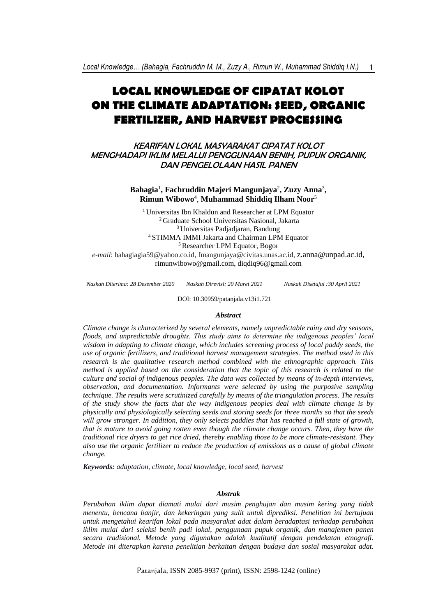# **LOCAL KNOWLEDGE OF CIPATAT KOLOT ON THE CLIMATE ADAPTATION: SEED, ORGANIC FERTILIZER, AND HARVEST PROCESSING**

KEARIFAN LOKAL MASYARAKAT CIPATAT KOLOT MENGHADAPI IKLIM MELALUI PENGGUNAAN BENIH, PUPUK ORGANIK, DAN PENGELOLAAN HASIL PANEN

> **Bahagia**<sup>1</sup> **, Fachruddin Majeri Mangunjaya**<sup>2</sup> **, Zuzy Anna**<sup>3</sup> **, Rimun Wibowo**<sup>4</sup> , **Muhammad Shiddiq Ilham Noor**<sup>5</sup>

Universitas Ibn Khaldun and Researcher at LPM Equator Graduate School Universitas Nasional, Jakarta Universitas Padjadjaran, Bandung STIMMA IMMI Jakarta and Chairman LPM Equator Researcher LPM Equator, Bogor

*e-mail*: bahagiagia59@yahoo.co.id, fmangunjaya@civitas.unas.ac.id, [z.anna@unpad.ac.id,](mailto:z.anna@unpad.ac.id) [rimunwibowo@gmail.com,](mailto:rimunwibowo@gmail.com) diqdiq96@gmail.com

*Naskah Diterima: 28 Desember 2020 Naskah Direvisi: 20 Maret 2021*

*Naskah Disetujui :30 April 2021*

DOI: 10.30959/patanjala.v13i1.721

#### *Abstract*

*Climate change is characterized by several elements, namely unpredictable rainy and dry seasons, floods, and unpredictable droughts. This study aims to determine the indigenous peoples' local wisdom in adapting to climate change, which includes screening process of local paddy seeds, the use of organic fertilizers, and traditional harvest management strategies. The method used in this research is the qualitative research method combined with the ethnographic approach. This method is applied based on the consideration that the topic of this research is related to the culture and social of indigenous peoples. The data was collected by means of in-depth interviews, observation, and documentation. Informants were selected by using the purposive sampling technique. The results were scrutinized carefully by means of the triangulation process. The results of the study show the facts that the way indigenous peoples deal with climate change is by physically and physiologically selecting seeds and storing seeds for three months so that the seeds will grow stronger. In addition, they only selects paddies that has reached a full state of growth, that is mature to avoid going rotten even though the climate change occurs. Then, they have the traditional rice dryers to get rice dried, thereby enabling those to be more climate-resistant. They also use the organic fertilizer to reduce the production of emissions as a cause of global climate change.*

*Keywords: adaptation, climate, local knowledge, local seed, harvest*

#### *Abstrak*

*Perubahan iklim dapat diamati mulai dari musim penghujan dan musim kering yang tidak menentu, bencana banjir, dan kekeringan yang sulit untuk diprediksi. Penelitian ini bertujuan untuk mengetahui kearifan lokal pada masyarakat adat dalam beradaptasi terhadap perubahan iklim mulai dari seleksi benih padi lokal, penggunaan pupuk organik, dan manajemen panen secara tradisional. Metode yang digunakan adalah kualitatif dengan pendekatan etnografi. Metode ini diterapkan karena penelitian berkaitan dengan budaya dan sosial masyarakat adat.*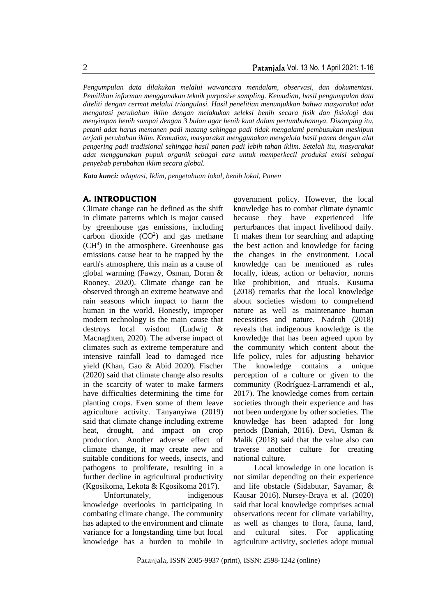*Pengumpulan data dilakukan melalui wawancara mendalam, observasi, dan dokumentasi. Pemilihan informan menggunakan teknik purposive sampling. Kemudian, hasil pengumpulan data diteliti dengan cermat melalui triangulasi. Hasil penelitian menunjukkan bahwa masyarakat adat mengatasi perubahan iklim dengan melakukan seleksi benih secara fisik dan fisiologi dan menyimpan benih sampai dengan 3 bulan agar benih kuat dalam pertumbuhannya. Disamping itu, petani adat harus memanen padi matang sehingga padi tidak mengalami pembusukan meskipun terjadi perubahan iklim. Kemudian, masyarakat menggunakan mengelola hasil panen dengan alat pengering padi tradisional sehingga hasil panen padi lebih tahan iklim. Setelah itu, masyarakat adat menggunakan pupuk organik sebagai cara untuk memperkecil produksi emisi sebagai penyebab perubahan iklim secara global.* 

*Kata kunci: adaptasi, Iklim, pengetahuan lokal, benih lokal, Panen*

## **A. INTRODUCTION**

Climate change can be defined as the shift in climate patterns which is major caused by greenhouse gas emissions, including carbon dioxide  $(CO<sup>2</sup>)$  and gas methane  $(CH<sup>4</sup>)$  in the atmosphere. Greenhouse gas emissions cause heat to be trapped by the earth's atmosphere, this main as a cause of global warming (Fawzy, Osman, Doran & Rooney, 2020). Climate change can be observed through an extreme heatwave and rain seasons which impact to harm the human in the world. Honestly, improper modern technology is the main cause that destroys local wisdom (Ludwig & Macnaghten, 2020). The adverse impact of climates such as extreme temperature and intensive rainfall lead to damaged rice yield (Khan, Gao & Abid 2020). Fischer (2020) said that climate change also results in the scarcity of water to make farmers have difficulties determining the time for planting crops. Even some of them leave agriculture activity. Tanyanyiwa (2019) said that climate change including extreme heat, drought, and impact on crop production. Another adverse effect of climate change, it may create new and suitable conditions for weeds, insects, and pathogens to proliferate, resulting in a further decline in agricultural productivity (Kgosikoma, Lekota & Kgosikoma 2017).

Unfortunately, indigenous knowledge overlooks in participating in combating climate change. The community has adapted to the environment and climate variance for a longstanding time but local knowledge has a burden to mobile in

government policy. However, the local knowledge has to combat climate dynamic because they have experienced life perturbances that impact livelihood daily. It makes them for searching and adapting the best action and knowledge for facing the changes in the environment. Local knowledge can be mentioned as rules locally, ideas, action or behavior, norms like prohibition, and rituals. Kusuma (2018) remarks that the local knowledge about societies wisdom to comprehend nature as well as maintenance human necessities and nature. Nadroh (2018) reveals that indigenous knowledge is the knowledge that has been agreed upon by the community which content about the life policy, rules for adjusting behavior The knowledge contains a unique perception of a culture or given to the community (Rodríguez-Larramendi et al., 2017). The knowledge comes from certain societies through their experience and has not been undergone by other societies. The knowledge has been adapted for long periods (Daniah, 2016). Devi, Usman & Malik (2018) said that the value also can traverse another culture for creating national culture.

Local knowledge in one location is not similar depending on their experience and life obstacle (Sidabutar, Sayamar, & Kausar 2016). Nursey-Braya et al. (2020) said that local knowledge comprises actual observations recent for climate variability, as well as changes to flora, fauna, land, and cultural sites. For applicating agriculture activity, societies adopt mutual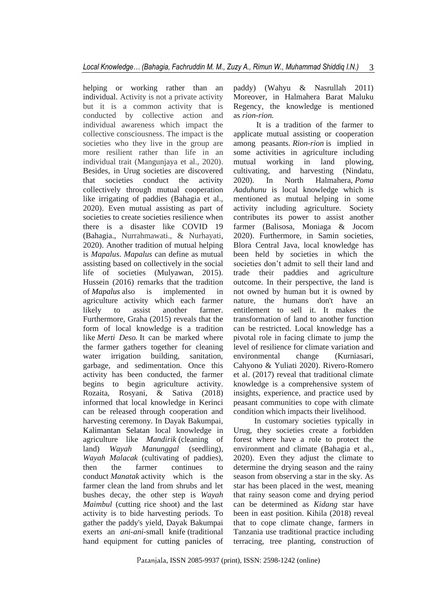helping or working rather than an individual. Activity is not a private activity but it is a common activity that is conducted by collective action and individual awareness which impact the collective consciousness. The impact is the societies who they live in the group are more resilient rather than life in an individual trait (Mangunjaya et al., 2020). Besides, in Urug societies are discovered that societies conduct the activity collectively through mutual cooperation like irrigating of paddies (Bahagia et al., 2020). Even mutual assisting as part of societies to create societies resilience when there is a disaster like COVID 19 (Bahagia., Nurrahmawati., & Nurhayati, 2020). Another tradition of mutual helping is *Mapalus*. *Mapalus* can define as mutual assisting based on collectively in the social life of societies (Mulyawan, 2015). Hussein (2016) remarks that the tradition of *Mapalus* also is implemented in agriculture activity which each farmer likely to assist another farmer. Furthermore, Graha (2015) reveals that the form of local knowledge is a tradition like *Merti Deso.* It can be marked where the farmer gathers together for cleaning water irrigation building, sanitation, garbage, and sedimentation. Once this activity has been conducted, the farmer begins to begin agriculture activity. Rozaita, Rosyani, & Sativa (2018) informed that local knowledge in Kerinci can be released through cooperation and harvesting ceremony. In Dayak Bakumpai, Kalimantan Selatan local knowledge in agriculture like *Mandirik* (cleaning of land) *Wayah Manunggal* (seedling), *Wayah Malacak* (cultivating of paddies), then the farmer continues to conduct *Manatak* activity which is the farmer clean the land from shrubs and let bushes decay, the other step is *Wayah Maimbul* (cutting rice shoot) and the last activity is to bide harvesting periods. To gather the paddy's yield, Dayak Bakumpai exerts an *ani-ani-*small knife (traditional hand equipment for cutting panicles of

paddy) (Wahyu & Nasrullah 2011) Moreover, in Halmahera Barat Maluku Regency, the knowledge is mentioned as *rion-rion.*

It is a tradition of the farmer to applicate mutual assisting or cooperation among peasants. *Rion-rion* is implied in some activities in agriculture including mutual working in land plowing, cultivating, and harvesting (Nindatu, 2020). In North Halmahera, *Poma Aaduhunu* is local knowledge which is mentioned as mutual helping in some activity including agriculture. Society contributes its power to assist another farmer (Balisosa, Moniaga & Jocom 2020). Furthermore, in Samin societies, Blora Central Java, local knowledge has been held by societies in which the societies don't admit to sell their land and trade their paddies and agriculture outcome. In their perspective, the land is not owned by human but it is owned by nature, the humans don't have an entitlement to sell it. It makes the transformation of land to another function can be restricted. Local knowledge has a pivotal role in facing climate to jump the level of resilience for climate variation and environmental change (Kurniasari, Cahyono & Yuliati 2020). Rivero-Romero et al. (2017) reveal that traditional climate knowledge is a comprehensive system of insights, experience, and practice used by peasant communities to cope with climate condition which impacts their livelihood.

In customary societies typically in Urug, they societies create a forbidden forest where have a role to protect the environment and climate (Bahagia et al., 2020). Even they adjust the climate to determine the drying season and the rainy season from observing a star in the sky. As star has been placed in the west, meaning that rainy season come and drying period can be determined as *Kidang* star have been in east position. Kihila (2018) reveal that to cope climate change, farmers in Tanzania use traditional practice including terracing, tree planting, construction of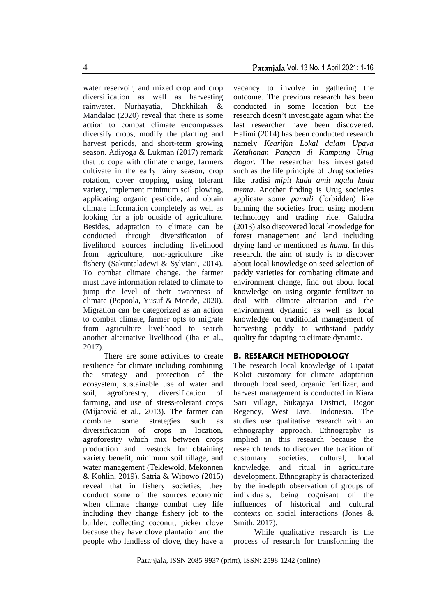water reservoir, and mixed crop and crop diversification as well as harvesting rainwater. Nurhayatia, Dhokhikah & Mandalac (2020) reveal that there is some action to combat climate encompasses diversify crops, modify the planting and harvest periods, and short-term growing season. Adiyoga & Lukman (2017) remark that to cope with climate change, farmers cultivate in the early rainy season, crop rotation, cover cropping, using tolerant variety, implement minimum soil plowing, applicating organic pesticide, and obtain climate information completely as well as looking for a job outside of agriculture. Besides, adaptation to climate can be conducted through diversification of livelihood sources including livelihood from agriculture, non-agriculture like fishery (Sakuntaladewi & Sylviani, 2014). To combat climate change, the farmer must have information related to climate to jump the level of their awareness of climate (Popoola, Yusuf & Monde, 2020). Migration can be categorized as an action to combat climate, farmer opts to migrate from agriculture livelihood to search another alternative livelihood (Jha et al., 2017).

There are some activities to create resilience for climate including combining the strategy and protection of the ecosystem, sustainable use of water and soil, agroforestry, diversification of farming, and use of stress-tolerant crops (Mijatović et al., 2013). The farmer can combine some strategies such as diversification of crops in location, agroforestry which mix between crops production and livestock for obtaining variety benefit, minimum soil tillage, and water management (Teklewold, Mekonnen & Kohlin, 2019). Satria & Wibowo (2015) reveal that in fishery societies, they conduct some of the sources economic when climate change combat they life including they change fishery job to the builder, collecting coconut, picker clove because they have clove plantation and the people who landless of clove, they have a

vacancy to involve in gathering the outcome. The previous research has been conducted in some location but the research doesn't investigate again what the last researcher have been discovered. Halimi (2014) has been conducted research namely *Kearifan Lokal dalam Upaya Ketahanan Pangan di Kampung Urug Bogor.* The researcher has investigated such as the life principle of Urug societies like tradisi *mipit kudu amit ngala kudu menta*. Another finding is Urug societies applicate some *pamali* (forbidden) like banning the societies from using modern technology and trading rice. Galudra (2013) also discovered local knowledge for forest management and land including drying land or mentioned as *huma.* In this research, the aim of study is to discover about local knowledge on seed selection of paddy varieties for combating climate and environment change, find out about local knowledge on using organic fertilizer to deal with climate alteration and the environment dynamic as well as local knowledge on traditional management of harvesting paddy to withstand paddy quality for adapting to climate dynamic.

#### **B. RESEARCH METHODOLOGY**

The research local knowledge of Cipatat Kolot customary for climate adaptation through local seed, organic fertilizer, and harvest management is conducted in Kiara Sari village, Sukajaya District, Bogor Regency, West Java, Indonesia. The studies use qualitative research with an ethnography approach. Ethnography is implied in this research because the research tends to discover the tradition of customary societies, cultural, local knowledge, and ritual in agriculture development. Ethnography is characterized by the in-depth observation of groups of individuals, being cognisant of the influences of historical and cultural contexts on social interactions (Jones & Smith, 2017).

While qualitative research is the process of research for transforming the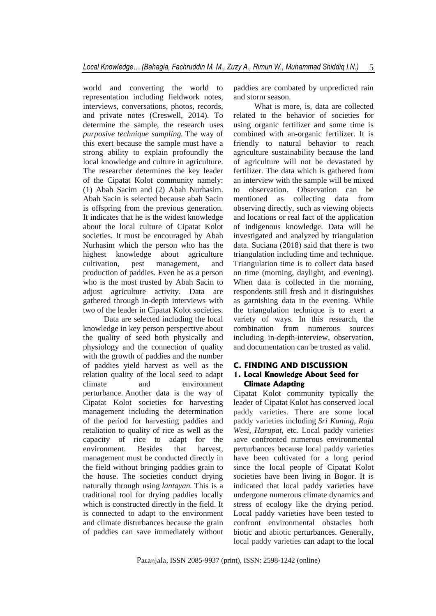world and converting the world to representation including fieldwork notes, interviews, conversations, photos, records, and private notes (Creswell, 2014). To determine the sample, the research uses *purposive technique sampling.* The way of this exert because the sample must have a strong ability to explain profoundly the local knowledge and culture in agriculture. The researcher determines the key leader of the Cipatat Kolot community namely: (1) Abah Sacim and (2) Abah Nurhasim. Abah Sacin is selected because abah Sacin is offspring from the previous generation. It indicates that he is the widest knowledge about the local culture of Cipatat Kolot societies. It must be encouraged by Abah Nurhasim which the person who has the highest knowledge about agriculture cultivation, pest management, and production of paddies. Even he as a person who is the most trusted by Abah Sacin to adjust agriculture activity. Data are gathered through in-depth interviews with two of the leader in Cipatat Kolot societies.

Data are selected including the local knowledge in key person perspective about the quality of seed both physically and physiology and the connection of quality with the growth of paddies and the number of paddies yield harvest as well as the relation quality of the local seed to adapt climate and environment perturbance. Another data is the way of Cipatat Kolot societies for harvesting management including the determination of the period for harvesting paddies and retaliation to quality of rice as well as the capacity of rice to adapt for the environment. Besides that harvest, management must be conducted directly in the field without bringing paddies grain to the house. The societies conduct drying naturally through using *lantayan.* This is a traditional tool for drying paddies locally which is constructed directly in the field. It is connected to adapt to the environment and climate disturbances because the grain of paddies can save immediately without

paddies are combated by unpredicted rain and storm season.

What is more, is, data are collected related to the behavior of societies for using organic fertilizer and some time is combined with an-organic fertilizer. It is friendly to natural behavior to reach agriculture sustainability because the land of agriculture will not be devastated by fertilizer. The data which is gathered from an interview with the sample will be mixed to observation. Observation can be mentioned as collecting data from observing directly, such as viewing objects and locations or real fact of the application of indigenous knowledge. Data will be investigated and analyzed by triangulation data. Suciana (2018) said that there is two triangulation including time and technique. Triangulation time is to collect data based on time (morning, daylight, and evening). When data is collected in the morning, respondents still fresh and it distinguishes as garnishing data in the evening. While the triangulation technique is to exert a variety of ways. In this research, the combination from numerous sources including in-depth-interview, observation, and documentation can be trusted as valid.

# **C. FINDING AND DISCUSSION**

## **1. Local Knowledge About Seed for Climate Adapting**

Cipatat Kolot community typically the leader of Cipatat Kolot has conserved local paddy varieties. There are some local paddy varieties including *Sri Kuning, Raja Wesi, Harupat,* etc*.* Local paddy varieties have confronted numerous environmental perturbances because local paddy varieties have been cultivated for a long period since the local people of Cipatat Kolot societies have been living in Bogor. It is indicated that local paddy varieties have undergone numerous climate dynamics and stress of ecology like the drying period. Local paddy varieties have been tested to confront environmental obstacles both biotic and abiotic perturbances. Generally, local paddy varieties can adapt to the local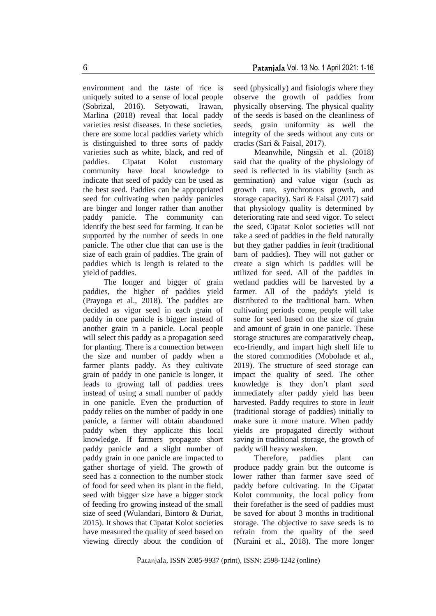environment and the taste of rice is uniquely suited to a sense of local people (Sobrizal, 2016). Setyowati, Irawan, Marlina (2018) reveal that local paddy varieties resist diseases. In these societies, there are some local paddies variety which is distinguished to three sorts of paddy varieties such as white, black, and red of paddies. Cipatat Kolot customary community have local knowledge to indicate that seed of paddy can be used as the best seed. Paddies can be appropriated seed for cultivating when paddy panicles are binger and longer rather than another paddy panicle. The community can identify the best seed for farming. It can be supported by the number of seeds in one panicle. The other clue that can use is the size of each grain of paddies. The grain of paddies which is length is related to the yield of paddies.

The longer and bigger of grain paddies, the higher of paddies yield (Prayoga et al., 2018). The paddies are decided as vigor seed in each grain of paddy in one panicle is bigger instead of another grain in a panicle. Local people will select this paddy as a propagation seed for planting. There is a connection between the size and number of paddy when a farmer plants paddy. As they cultivate grain of paddy in one panicle is longer, it leads to growing tall of paddies trees instead of using a small number of paddy in one panicle. Even the production of paddy relies on the number of paddy in one panicle, a farmer will obtain abandoned paddy when they applicate this local knowledge. If farmers propagate short paddy panicle and a slight number of paddy grain in one panicle are impacted to gather shortage of yield. The growth of seed has a connection to the number stock of food for seed when its plant in the field, seed with bigger size have a bigger stock of feeding fro growing instead of the small size of seed (Wulandari, Bintoro & Duriat, 2015). It shows that Cipatat Kolot societies have measured the quality of seed based on viewing directly about the condition of

seed (physically) and fisiologis where they observe the growth of paddies from physically observing. The physical quality of the seeds is based on the cleanliness of seeds, grain uniformity as well the integrity of the seeds without any cuts or cracks (Sari & Faisal, 2017).

Meanwhile, Ningsih et al. (2018) said that the quality of the physiology of seed is reflected in its viability (such as germination) and value vigor (such as growth rate, synchronous growth, and storage capacity). Sari & Faisal (2017) said that physiology quality is determined by deteriorating rate and seed vigor. To select the seed, Cipatat Kolot societies will not take a seed of paddies in the field naturally but they gather paddies in *leuit* (traditional barn of paddies). They will not gather or create a sign which is paddies will be utilized for seed. All of the paddies in wetland paddies will be harvested by a farmer. All of the paddy's yield is distributed to the traditional barn. When cultivating periods come, people will take some for seed based on the size of grain and amount of grain in one panicle. These storage structures are comparatively cheap, eco-friendly, and impart high shelf life to the stored commodities (Mobolade et al., 2019). The structure of seed storage can impact the quality of seed. The other knowledge is they don't plant seed immediately after paddy yield has been harvested. Paddy requires to store in *leuit* (traditional storage of paddies) initially to make sure it more mature. When paddy yields are propagated directly without saving in traditional storage, the growth of paddy will heavy weaken.

Therefore, paddies plant can produce paddy grain but the outcome is lower rather than farmer save seed of paddy before cultivating. In the Cipatat Kolot community, the local policy from their forefather is the seed of paddies must be saved for about 3 months in traditional storage. The objective to save seeds is to refrain from the quality of the seed (Nuraini et al., 2018). The more longer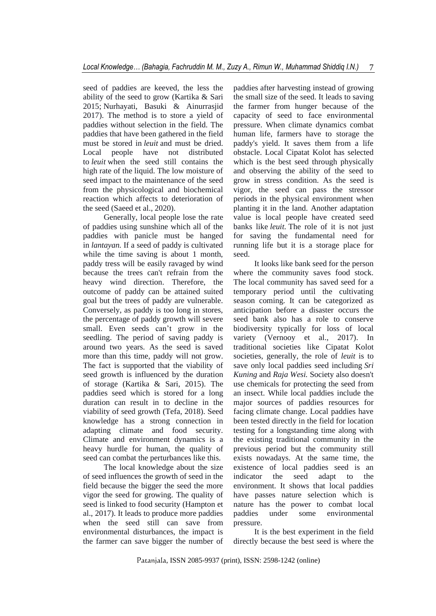seed of paddies are keeved, the less the ability of the seed to grow (Kartika & Sari 2015; Nurhayati, Basuki & Ainurrasjid 2017). The method is to store a yield of paddies without selection in the field. The paddies that have been gathered in the field must be stored in *leuit* and must be dried. Local people have not distributed to *leuit* when the seed still contains the high rate of the liquid. The low moisture of seed impact to the maintenance of the seed from the physicological and biochemical reaction which affects to deterioration of the seed (Saeed et al., 2020).

Generally, local people lose the rate of paddies using sunshine which all of the paddies with panicle must be hanged in *lantayan.* If a seed of paddy is cultivated while the time saving is about 1 month, paddy tress will be easily ravaged by wind because the trees can't refrain from the heavy wind direction. Therefore, the outcome of paddy can be attained suited goal but the trees of paddy are vulnerable. Conversely, as paddy is too long in stores, the percentage of paddy growth will severe small. Even seeds can't grow in the seedling. The period of saving paddy is around two years. As the seed is saved more than this time, paddy will not grow. The fact is supported that the viability of seed growth is influenced by the duration of storage (Kartika & Sari, 2015). The paddies seed which is stored for a long duration can result in to decline in the viability of seed growth (Tefa, 2018). Seed knowledge has a strong connection in adapting climate and food security. Climate and environment dynamics is a heavy hurdle for human, the quality of seed can combat the perturbances like this.

The local knowledge about the size of seed influences the growth of seed in the field because the bigger the seed the more vigor the seed for growing. The quality of seed is linked to food security (Hampton et al., 2017). It leads to produce more paddies when the seed still can save from environmental disturbances, the impact is the farmer can save bigger the number of

paddies after harvesting instead of growing the small size of the seed. It leads to saving the farmer from hunger because of the capacity of seed to face environmental pressure. When climate dynamics combat human life, farmers have to storage the paddy's yield. It saves them from a life obstacle. Local Cipatat Kolot has selected which is the best seed through physically and observing the ability of the seed to grow in stress condition. As the seed is vigor, the seed can pass the stressor periods in the physical environment when planting it in the land. Another adaptation value is local people have created seed banks like *leuit.* The role of it is not just for saving the fundamental need for running life but it is a storage place for seed.

It looks like bank seed for the person where the community saves food stock. The local community has saved seed for a temporary period until the cultivating season coming. It can be categorized as anticipation before a disaster occurs the seed bank also has a role to conserve biodiversity typically for loss of local variety (Vernooy et al., 2017). In traditional societies like Cipatat Kolot societies, generally, the role of *leuit* is to save only local paddies seed including *Sri Kuning* and *Raja Wesi.* Society also doesn't use chemicals for protecting the seed from an insect. While local paddies include the major sources of paddies resources for facing climate change. Local paddies have been tested directly in the field for location testing for a longstanding time along with the existing traditional community in the previous period but the community still exists nowadays. At the same time, the existence of local paddies seed is an indicator the seed adapt to the environment. It shows that local paddies have passes nature selection which is nature has the power to combat local paddies under some environmental pressure.

It is the best experiment in the field directly because the best seed is where the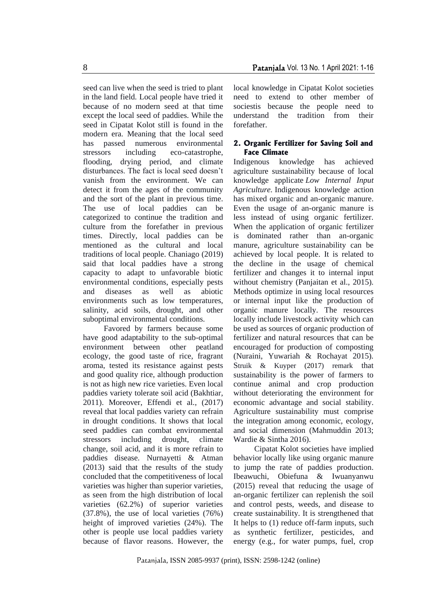seed can live when the seed is tried to plant in the land field. Local people have tried it because of no modern seed at that time except the local seed of paddies. While the seed in Cipatat Kolot still is found in the modern era. Meaning that the local seed has passed numerous environmental stressors including eco-catastrophe, flooding, drying period, and climate disturbances. The fact is local seed doesn't vanish from the environment. We can detect it from the ages of the community and the sort of the plant in previous time. The use of local paddies can be categorized to continue the tradition and culture from the forefather in previous times. Directly, local paddies can be mentioned as the cultural and local traditions of local people. Chaniago (2019) said that local paddies have a strong capacity to adapt to unfavorable biotic environmental conditions, especially pests and diseases as well as abiotic environments such as low temperatures, salinity, acid soils, drought, and other suboptimal environmental conditions.

Favored by farmers because some have good adaptability to the sub-optimal environment between other peatland ecology, the good taste of rice, fragrant aroma, tested its resistance against pests and good quality rice, although production is not as high new rice varieties. Even local paddies variety tolerate soil acid (Bakhtiar, 2011). Moreover, Effendi et al., (2017) reveal that local paddies variety can refrain in drought conditions. It shows that local seed paddies can combat environmental stressors including drought, climate change, soil acid, and it is more refrain to paddies disease. Nurnayetti & Atman (2013) said that the results of the study concluded that the competitiveness of local varieties was higher than superior varieties, as seen from the high distribution of local varieties (62.2%) of superior varieties (37.8%), the use of local varieties (76%) height of improved varieties (24%). The other is people use local paddies variety because of flavor reasons. However, the

Patanjala Vol. 13 No. 1 April 2021: 1-16

local knowledge in Cipatat Kolot societies need to extend to other member of sociestis because the people need to understand the tradition from their forefather.

## **2. Organic Fertilizer for Saving Soil and Face Climate**

Indigenous knowledge has achieved agriculture sustainability because of local knowledge applicate *Low Internal Input Agriculture.* Indigenous knowledge action has mixed organic and an-organic manure. Even the usage of an-organic manure is less instead of using organic fertilizer. When the application of organic fertilizer dominated rather than an-organic manure, agriculture sustainability can be achieved by local people. It is related to the decline in the usage of chemical fertilizer and changes it to internal input without chemistry (Panjaitan et al., 2015). Methods optimize in using local resources or internal input like the production of organic manure locally. The resources locally include livestock activity which can be used as sources of organic production of fertilizer and natural resources that can be encouraged for production of composting (Nuraini, Yuwariah & Rochayat 2015). Struik & Kuyper (2017) remark that sustainability is the power of farmers to continue animal and crop production without deteriorating the environment for economic advantage and social stability. Agriculture sustainability must comprise the integration among economic, ecology, and social dimension (Mahmuddin 2013; Wardie & Sintha 2016).

Cipatat Kolot societies have implied behavior locally like using organic manure to jump the rate of paddies production. Ibeawuchi, Obiefuna & Iwuanyanwu (2015) reveal that reducing the usage of an-organic fertilizer can replenish the soil and control pests, weeds, and disease to create sustainability. It is strengthened that It helps to (1) reduce off-farm inputs, such as synthetic fertilizer, pesticides, and energy (e.g., for water pumps, fuel, crop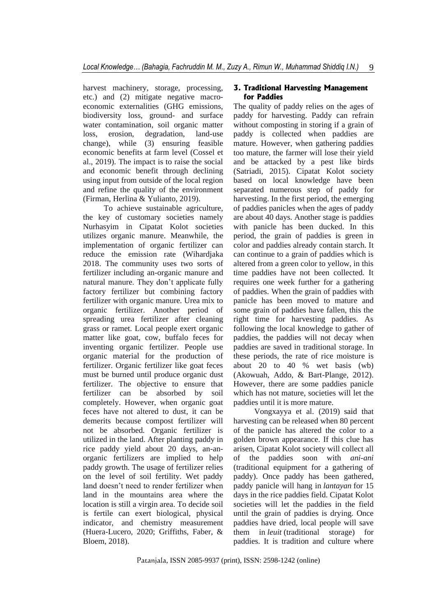harvest machinery, storage, processing, etc.) and (2) mitigate negative macroeconomic externalities (GHG emissions, biodiversity loss, ground- and surface water contamination, soil organic matter loss, erosion, degradation, land-use change), while (3) ensuring feasible economic benefits at farm level (Cossel et al., 2019). The impact is to raise the social and economic benefit through declining using input from outside of the local region and refine the quality of the environment (Firman, Herlina & Yulianto, 2019).

To achieve sustainable agriculture, the key of customary societies namely Nurhasyim in Cipatat Kolot societies utilizes organic manure. Meanwhile, the implementation of organic fertilizer can reduce the emission rate (Wihardjaka 2018. The community uses two sorts of fertilizer including an-organic manure and natural manure. They don't applicate fully factory fertilizer but combining factory fertilizer with organic manure. Urea mix to organic fertilizer. Another period of spreading urea fertilizer after cleaning grass or ramet. Local people exert organic matter like goat, cow, buffalo feces for inventing organic fertilizer. People use organic material for the production of fertilizer. Organic fertilizer like goat feces must be burned until produce organic dust fertilizer. The objective to ensure that fertilizer can be absorbed by soil completely. However, when organic goat feces have not altered to dust, it can be demerits because compost fertilizer will not be absorbed. Organic fertilizer is utilized in the land. After planting paddy in rice paddy yield about 20 days, an-anorganic fertilizers are implied to help paddy growth. The usage of fertilizer relies on the level of soil fertility. Wet paddy land doesn't need to render fertilizer when land in the mountains area where the location is still a virgin area. To decide soil is fertile can exert biological, physical indicator, and chemistry measurement (Huera-Lucero, 2020; Griffiths, Faber, & Bloem, 2018).

## **3. Traditional Harvesting Management for Paddies**

The quality of paddy relies on the ages of paddy for harvesting. Paddy can refrain without composting in storing if a grain of paddy is collected when paddies are mature. However, when gathering paddies too mature, the farmer will lose their yield and be attacked by a pest like birds (Satriadi, 2015). Cipatat Kolot society based on local knowledge have been separated numerous step of paddy for harvesting. In the first period, the emerging of paddies panicles when the ages of paddy are about 40 days. Another stage is paddies with panicle has been ducked. In this period, the grain of paddies is green in color and paddies already contain starch. It can continue to a grain of paddies which is altered from a green color to yellow, in this time paddies have not been collected. It requires one week further for a gathering of paddies. When the grain of paddies with panicle has been moved to mature and some grain of paddies have fallen, this the right time for harvesting paddies. As following the local knowledge to gather of paddies, the paddies will not decay when paddies are saved in traditional storage. In these periods, the rate of rice moisture is about 20 to 40 % wet basis (wb) (Akowuah, Addo, & Bart-Plange, 2012). However, there are some paddies panicle which has not mature, societies will let the paddies until it is more mature.

Vongxayya et al. (2019) said that harvesting can be released when 80 percent of the panicle has altered the color to a golden brown appearance. If this clue has arisen, Cipatat Kolot society will collect all of the paddies soon with *ani-ani* (traditional equipment for a gathering of paddy). Once paddy has been gathered, paddy panicle will hang in *lantayan* for 15 days in the rice paddies field. Cipatat Kolot societies will let the paddies in the field until the grain of paddies is drying. Once paddies have dried, local people will save them in *leuit* (traditional storage) for paddies. It is tradition and culture where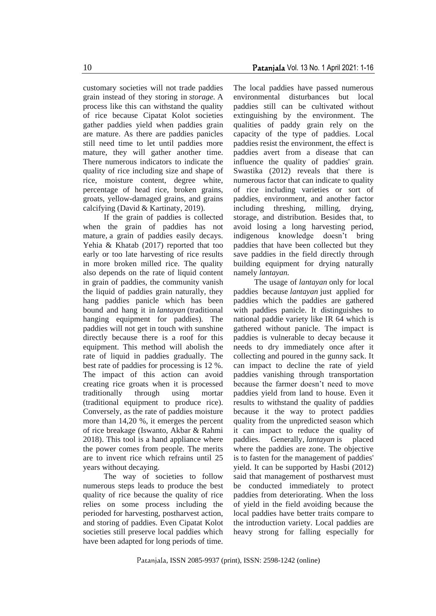customary societies will not trade paddies grain instead of they storing in *storage.* A process like this can withstand the quality of rice because Cipatat Kolot societies gather paddies yield when paddies grain are mature. As there are paddies panicles still need time to let until paddies more mature, they will gather another time.

There numerous indicators to indicate the quality of rice including size and shape of rice, moisture content, degree white, percentage of head rice, broken grains, groats, yellow-damaged grains, and grains calcifying (David & Kartinaty, 2019).

If the grain of paddies is collected when the grain of paddies has not mature*,* a grain of paddies easily decays. Yehia & Khatab (2017) reported that too early or too late harvesting of rice results in more broken milled rice. The quality also depends on the rate of liquid content in grain of paddies, the community vanish the liquid of paddies grain naturally, they hang paddies panicle which has been bound and hang it in *lantayan* (traditional hanging equipment for paddies). The paddies will not get in touch with sunshine directly because there is a roof for this equipment. This method will abolish the rate of liquid in paddies gradually. The best rate of paddies for processing is 12 %. The impact of this action can avoid creating rice groats when it is processed traditionally through using mortar (traditional equipment to produce rice). Conversely, as the rate of paddies moisture more than 14,20 %, it emerges the percent of rice breakage (Iswanto, Akbar & Rahmi 2018). This tool is a hand appliance where the power comes from people. The merits are to invent rice which refrains until 25 years without decaying.

The way of societies to follow numerous steps leads to produce the best quality of rice because the quality of rice relies on some process including the perioded for harvesting, postharvest action, and storing of paddies. Even Cipatat Kolot societies still preserve local paddies which have been adapted for long periods of time.

The local paddies have passed numerous environmental disturbances but local paddies still can be cultivated without extinguishing by the environment. The qualities of paddy grain rely on the capacity of the type of paddies. Local paddies resist the environment, the effect is paddies avert from a disease that can influence the quality of paddies' grain. Swastika (2012) reveals that there is numerous factor that can indicate to quality of rice including varieties or sort of paddies, environment, and another factor including threshing, milling, drying, storage, and distribution. Besides that, to avoid losing a long harvesting period, indigenous knowledge doesn't bring paddies that have been collected but they save paddies in the field directly through building equipment for drying naturally namely *lantayan.*

The usage of *lantayan* only for local paddies because *lantayan* just applied for paddies which the paddies are gathered with paddies panicle. It distinguishes to national paddie variety like IR 64 which is gathered without panicle. The impact is paddies is vulnerable to decay because it needs to dry immediately once after it collecting and poured in the gunny sack. It can impact to decline the rate of yield paddies vanishing through transportation because the farmer doesn't need to move paddies yield from land to house. Even it results to withstand the quality of paddies because it the way to protect paddies quality from the unpredicted season which it can impact to reduce the quality of paddies. Generally, *lantayan* is placed where the paddies are zone. The objective is to fasten for the management of paddies' yield. It can be supported by Hasbi (2012) said that management of postharvest must be conducted immediately to protect paddies from deteriorating. When the loss of yield in the field avoiding because the local paddies have better traits compare to the introduction variety. Local paddies are heavy strong for falling especially for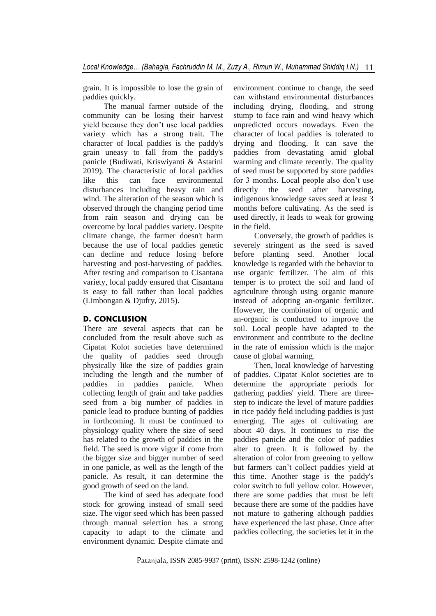grain. It is impossible to lose the grain of paddies quickly.

The manual farmer outside of the community can be losing their harvest yield because they don't use local paddies variety which has a strong trait. The character of local paddies is the paddy's grain uneasy to fall from the paddy's panicle (Budiwati, Kriswiyanti & Astarini 2019). The characteristic of local paddies like this can face environmental disturbances including heavy rain and wind. The alteration of the season which is observed through the changing period time from rain season and drying can be overcome by local paddies variety. Despite climate change, the farmer doesn't harm because the use of local paddies genetic can decline and reduce losing before harvesting and post-harvesting of paddies. After testing and comparison to Cisantana variety, local paddy ensured that Cisantana is easy to fall rather than local paddies (Limbongan & Djufry, 2015).

## **D. CONCLUSION**

There are several aspects that can be concluded from the result above such as Cipatat Kolot societies have determined the quality of paddies seed through physically like the size of paddies grain including the length and the number of paddies in paddies panicle. When collecting length of grain and take paddies seed from a big number of paddies in panicle lead to produce bunting of paddies in forthcoming. It must be continued to physiology quality where the size of seed has related to the growth of paddies in the field. The seed is more vigor if come from the bigger size and bigger number of seed in one panicle, as well as the length of the panicle. As result, it can determine the good growth of seed on the land.

The kind of seed has adequate food stock for growing instead of small seed size. The vigor seed which has been passed through manual selection has a strong capacity to adapt to the climate and environment dynamic. Despite climate and

environment continue to change, the seed can withstand environmental disturbances including drying, flooding, and strong stump to face rain and wind heavy which unpredicted occurs nowadays. Even the character of local paddies is tolerated to drying and flooding. It can save the paddies from devastating amid global warming and climate recently. The quality of seed must be supported by store paddies for 3 months. Local people also don't use directly the seed after harvesting, indigenous knowledge saves seed at least 3 months before cultivating. As the seed is used directly, it leads to weak for growing in the field.

Conversely, the growth of paddies is severely stringent as the seed is saved before planting seed. Another local knowledge is regarded with the behavior to use organic fertilizer. The aim of this temper is to protect the soil and land of agriculture through using organic manure instead of adopting an-organic fertilizer. However, the combination of organic and an-organic is conducted to improve the soil. Local people have adapted to the environment and contribute to the decline in the rate of emission which is the major cause of global warming.

Then, local knowledge of harvesting of paddies. Cipatat Kolot societies are to determine the appropriate periods for gathering paddies' yield. There are threestep to indicate the level of mature paddies in rice paddy field including paddies is just emerging. The ages of cultivating are about 40 days. It continues to rise the paddies panicle and the color of paddies alter to green. It is followed by the alteration of color from greening to yellow but farmers can't collect paddies yield at this time. Another stage is the paddy's color switch to full yellow color. However, there are some paddies that must be left because there are some of the paddies have not mature to gathering although paddies have experienced the last phase. Once after paddies collecting, the societies let it in the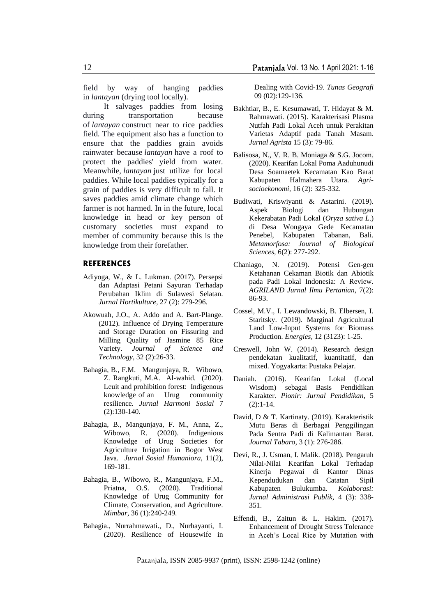field by way of hanging paddies in *lantayan* (drying tool locally).

It salvages paddies from losing during transportation because of *lantayan* construct near to rice paddies field. The equipment also has a function to ensure that the paddies grain avoids rainwater because *lantayan* have a roof to protect the paddies' yield from water. Meanwhile, *lantayan* just utilize for local paddies. While local paddies typically for a grain of paddies is very difficult to fall. It saves paddies amid climate change which farmer is not harmed. In in the future, local knowledge in head or key person of customary societies must expand to member of community because this is the knowledge from their forefather.

#### **REFERENCES**

- Adiyoga, W., & L. Lukman. (2017). Persepsi dan Adaptasi Petani Sayuran Terhadap Perubahan Iklim di Sulawesi Selatan. *Jurnal Hortikulture,* 27 (2): 279-296.
- Akowuah, J.O., A. Addo and A. Bart-Plange. (2012). Influence of Drying Temperature and Storage Duration on Fissuring and Milling Quality of Jasmine 85 Rice Variety. *Journal of Science and Technology,* 32 (2):26-33.
- Bahagia, B., F.M. Mangunjaya, R. Wibowo, Z. Rangkuti, M.A. Al-wahid. (2020). Leuit and prohibition forest: Indigenous knowledge of an Urug community resilience. *Jurnal Harmoni Sosial* 7 (2):130-140.
- Bahagia, B., Mangunjaya, F. M., Anna, Z., Wibowo, R. (2020). Indigenious Knowledge of Urug Societies for Agriculture Irrigation in Bogor West Java. *Jurnal Sosial Humaniora,* 11(2), 169-181.
- Bahagia, B., Wibowo, R., Mangunjaya, F.M., Priatna, O.S. (2020). Traditional Knowledge of Urug Community for Climate, Conservation, and Agriculture. *Mimbar*, 36 (1):240-249.
- Bahagia., Nurrahmawati., D., Nurhayanti, I. (2020). Resilience of Housewife in

Dealing with Covid-19. *Tunas Geografi* 09 (02):129-136.

- Bakhtiar, B., E. Kesumawati, T. Hidayat & M. Rahmawati. (2015). Karakterisasi Plasma Nutfah Padi Lokal Aceh untuk Perakitan Varietas Adaptif pada Tanah Masam. *Jurnal Agrista* 15 (3): 79-86.
- Balisosa, N., V. R. B. Moniaga & S.G. Jocom. (2020). Kearifan Lokal Poma Aaduhunudi Desa Soamaetek Kecamatan Kao Barat Kabupaten Halmahera Utara. *Agrisocioekonomi,* 16 (2): 325-332.
- Budiwati, Kriswiyanti & Astarini. (2019). Aspek Biologi dan Hubungan Kekerabatan Padi Lokal (*Oryza sativa L*.) di Desa Wongaya Gede Kecamatan Penebel, Kabupaten Tabanan, Bali. *Metamorfosa: Journal of Biological Sciences,* 6(2): 277-292.
- Chaniago, N. (2019). Potensi Gen-gen Ketahanan Cekaman Biotik dan Abiotik pada Padi Lokal Indonesia: A Review. *AGRILAND Jurnal Ilmu Pertanian,* 7(2): 86-93.
- Cossel, M.V., I. Lewandowski, B. Elbersen, I. Staritsky. (2019). Marginal Agricultural Land Low-Input Systems for Biomass Production. *Energies,* 12 (3123): 1-25.
- Creswell, John W. (2014). Research design pendekatan kualitatif, kuantitatif, dan mixed. Yogyakarta: Pustaka Pelajar.
- Daniah. (2016). Kearifan Lokal (Local Wisdom) sebagai Basis Pendidikan Karakter. *Pionir: Jurnal Pendidikan,* 5 (2):1-14.
- David, D & T. Kartinaty. (2019). Karakteristik Mutu Beras di Berbagai Penggilingan Pada Sentra Padi di Kalimantan Barat. *Journal Tabaro,* 3 (1): 276-286.
- Devi, R., J. Usman, I. Malik. (2018). Pengaruh Nilai-Nilai Kearifan Lokal Terhadap Kinerja Pegawai di Kantor Dinas Kependudukan dan Catatan Sipil Kabupaten Bulukumba. *Kolaborasi: Jurnal Administrasi Publik*, 4 (3): 338- 351.
- Effendi, B., Zaitun & L. Hakim. (2017). Enhancement of Drought Stress Tolerance in Aceh's Local Rice by Mutation with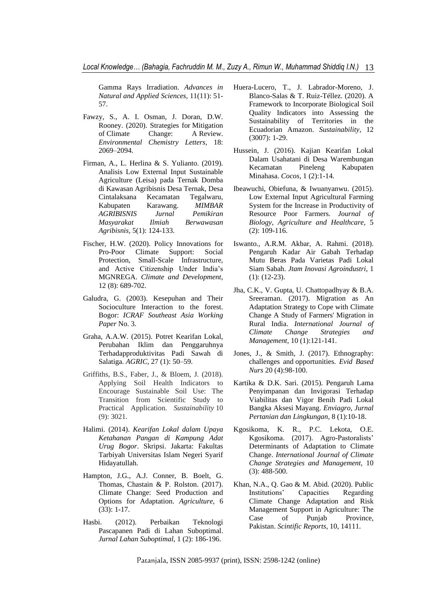Gamma Rays Irradiation. *Advances in Natural and Applied Sciences,* 11(11): 51- 57.

- Fawzy, S., A. I. Osman, J. Doran, D.W. Rooney. (2020). Strategies for Mitigation of Climate Change: A Review. *Environmental Chemistry Letters,* 18: 2069–2094.
- Firman, A., L. Herlina & S. Yulianto. (2019). Analisis Low External Input Sustainable Agriculture (Leisa) pada Ternak Domba di Kawasan Agribisnis Desa Ternak, Desa Cintalaksana Kecamatan Tegalwaru, Kabupaten Karawang. *MIMBAR AGRIBISNIS Jurnal Pemikiran Masyarakat Ilmiah Berwawasan Agribisnis,* 5(1): 124-133.
- Fischer, H.W. (2020). Policy Innovations for Pro-Poor Climate Support: Social Protection, Small-Scale Infrastructure, and Active Citizenship Under India's MGNREGA. *Climate and Development*, 12 (8): 689-702.
- Galudra, G. (2003). Kesepuhan and Their Socioculture Interaction to the forest. Bogor: *ICRAF Southeast Asia Working Paper* No. 3.
- Graha, A.A.W. (2015). Potret Kearifan Lokal, Perubahan Iklim dan Penggaruhnya Terhadapproduktivitas Padi Sawah di Salatiga. *AGRIC,* 27 (1): 50–59.
- Griffiths, B.S., Faber, J., & Bloem, J. (2018). Applying Soil Health Indicators to Encourage Sustainable Soil Use: The Transition from Scientific Study to Practical Application. *Sustainability* 10 (9): 3021.
- Halimi. (2014). *Kearifan Lokal dalam Upaya Ketahanan Pangan di Kampung Adat Urug Bogor*. Skripsi. Jakarta: Fakultas Tarbiyah Universitas Islam Negeri Syarif Hidayatullah.
- Hampton, J.G., A.J. Conner, B. Boelt, G. Thomas, Chastain & P. Rolston. (2017). Climate Change: Seed Production and Options for Adaptation. *Agriculture*, 6 (33): 1-17.
- Hasbi. (2012). Perbaikan Teknologi Pascapanen Padi di Lahan Suboptimal. *Jurnal Lahan Suboptimal,* 1 (2): 186-196.
- Huera-Lucero, T., J. Labrador-Moreno, J. Blanco-Salas & T. Ruiz-Téllez. (2020). A Framework to Incorporate Biological Soil Quality Indicators into Assessing the Sustainability of Territories in the Ecuadorian Amazon. *Sustainability,* 12 (3007): 1-29.
- Hussein, J. (2016). Kajian Kearifan Lokal Dalam Usahatani di Desa Warembungan Kecamatan Pineleng Kabupaten Minahasa. *Cocos*, 1 (2):1-14.
- Ibeawuchi, Obiefuna, & Iwuanyanwu. (2015). Low External Input Agricultural Farming System for the Increase in Productivity of Resource Poor Farmers. *Journal of Biology, Agriculture and Healthcare,* 5 (2): 109-116.
- Iswanto., A.R.M. Akbar, A. Rahmi. (2018). Pengaruh Kadar Air Gabah Terhadap Mutu Beras Pada Varietas Padi Lokal Siam Sabah. *Jtam Inovasi Agroindustri,* 1 (1): (12-23).
- Jha, C.K., V. Gupta, U. Chattopadhyay & B.A. Sreeraman. (2017). Migration as An Adaptation Strategy to Cope with Climate Change A Study of Farmers' Migration in Rural India. *International Journal of Climate Change Strategies and Management,* 10 (1):121-141.
- Jones, J., & Smith, J. (2017). Ethnography: challenges and opportunities. *Evid Based Nurs* 20 (4):98-100.
- Kartika & D.K. Sari. (2015). Pengaruh Lama Penyimpanan dan Invigorasi Terhadap Viabilitas dan Vigor Benih Padi Lokal Bangka Aksesi Mayang. *Enviagro, Jurnal Pertanian dan Lingkungan,* 8 (1):10-18.
- Kgosikoma, K. R., P.C. Lekota, O.E. Kgosikoma. (2017). Agro-Pastoralists' Determinants of Adaptation to Climate Change. *International Journal of Climate Change Strategies and Management,* 10 (3): 488-500.
- Khan, N.A., Q. Gao & M. Abid. (2020). Public Institutions' Capacities Regarding Climate Change Adaptation and Risk Management Support in Agriculture: The Case of Punjab Province, Pakistan. *Scintific Reports,* 10, 14111.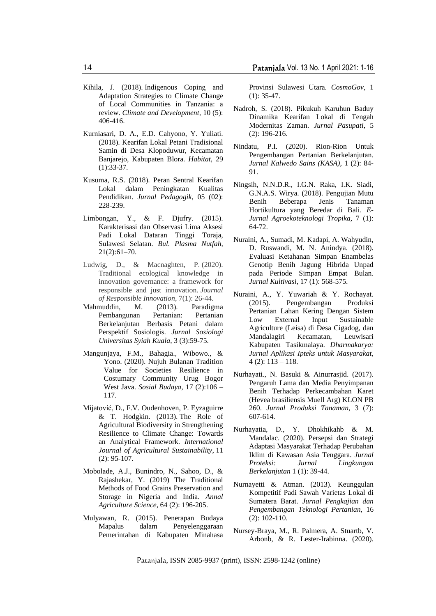- Kihila, J. (2018). Indigenous Coping and Adaptation Strategies to Climate Change of Local Communities in Tanzania: a review. *Climate and Development,* 10 (5): 406-416.
- Kurniasari, D. A., E.D. Cahyono, Y. Yuliati. (2018). Kearifan Lokal Petani Tradisional Samin di Desa Klopoduwur, Kecamatan Banjarejo, Kabupaten Blora. *Habitat,* 29 (1):33-37.
- Kusuma, R.S. (2018). Peran Sentral Kearifan Lokal dalam Peningkatan Kualitas Pendidikan. *Jurnal Pedagogik,* 05 (02): 228-239.
- Limbongan, Y., & F. Djufry. (2015). Karakterisasi dan Observasi Lima Aksesi Padi Lokal Dataran Tinggi Toraja, Sulawesi Selatan. *Bul. Plasma Nutfah,* 21(2):61–70.
- Ludwig, D., & Macnaghten, P. (2020). Traditional ecological knowledge in innovation governance: a framework for responsible and just innovation. *Journal of Responsible Innovation*, 7(1): 26-44.
- Mahmuddin, M. (2013). Paradigma Pembangunan Pertanian: Pertanian Berkelanjutan Berbasis Petani dalam Perspektif Sosiologis. *Jurnal Sosiologi Universitas Syiah Kuala*, 3 (3):59-75.
- Mangunjaya, F.M., Bahagia., Wibowo., & Yono. (2020). Nujuh Bulanan Tradition Value for Societies Resilience in Costumary Community Urug Bogor West Java. *Sosial Budaya*, 17 (2):106 – 117.
- Mijatović, D., F.V. Oudenhoven, P. Eyzaguirre & T. Hodgkin. (2013). The Role of Agricultural Biodiversity in Strengthening Resilience to Climate Change: Towards an Analytical Framework. *International Journal of Agricultural Sustainability*, 11 (2): 95-107.
- Mobolade, A.J., Bunindro, N., Sahoo, D., & Rajashekar, Y. (2019) The Traditional Methods of Food Grains Preservation and Storage in Nigeria and India. *Annal Agriculture Science,* 64 (2): 196-205.
- Mulyawan, R. (2015). Penerapan Budaya Mapalus dalam Penyelenggaraan Pemerintahan di Kabupaten Minahasa

Provinsi Sulawesi Utara. *CosmoGov*, 1  $(1): 35-47.$ 

- Nadroh, S. (2018). Pikukuh Karuhun Baduy Dinamika Kearifan Lokal di Tengah Modernitas Zaman. *Jurnal Pasupati,* 5 (2): 196-216.
- Nindatu, P.I. (2020). Rion-Rion Untuk Pengembangan Pertanian Berkelanjutan. *Jurnal Kalwedo Sains (KASA),* 1 (2): 84- 91.
- Ningsih, N.N.D.R., I.G.N. Raka, I.K. Siadi, G.N.A.S. Wirya. (2018). Pengujian Mutu Benih Beberapa Jenis Tanaman Hortikultura yang Beredar di Bali. *E-Jurnal Agroekoteknologi Tropika,* 7 (1): 64-72.
- Nuraini, A., Sumadi, M. Kadapi, A. Wahyudin, D. Ruswandi, M. N. Anindya. (2018). Evaluasi Ketahanan Simpan Enambelas Genotip Benih Jagung Hibrida Unpad pada Periode Simpan Empat Bulan. *Jurnal Kultivasi,* 17 (1): 568-575.
- Nuraini, A., Y. Yuwariah & Y. Rochayat. (2015). Pengembangan Produksi Pertanian Lahan Kering Dengan Sistem Low External Input Sustainable Agriculture (Leisa) di Desa Cigadog, dan Mandalagiri Kecamatan, Leuwisari Kabupaten Tasikmalaya. *Dharmakarya: Jurnal Aplikasi Ipteks untuk Masyarakat,*  $4$  (2):  $113 - 118$ .
- Nurhayati., N. Basuki & Ainurrasjid. (2017). Pengaruh Lama dan Media Penyimpanan Benih Terhadap Perkecambahan Karet (Hevea brasiliensis Muell Arg) KLON PB 260. *Jurnal Produksi Tanaman,* 3 (7): 607-614.
- Nurhayatia, D., Y. Dhokhikahb & M. Mandalac. (2020). Persepsi dan Strategi Adaptasi Masyarakat Terhadap Perubahan Iklim di Kawasan Asia Tenggara. *Jurnal Proteksi: Jurnal Lingkungan Berkelanjutan* 1 (1): 39-44.
- Nurnayetti & Atman. (2013). Keunggulan Kompetitif Padi Sawah Varietas Lokal di Sumatera Barat. *Jurnal Pengkajian dan Pengembangan Teknologi Pertanian,* 16 (2): 102-110.
- Nursey-Braya, M., R. Palmera, A. Stuartb, V. Arbonb, & R. Lester-Irabinna. (2020).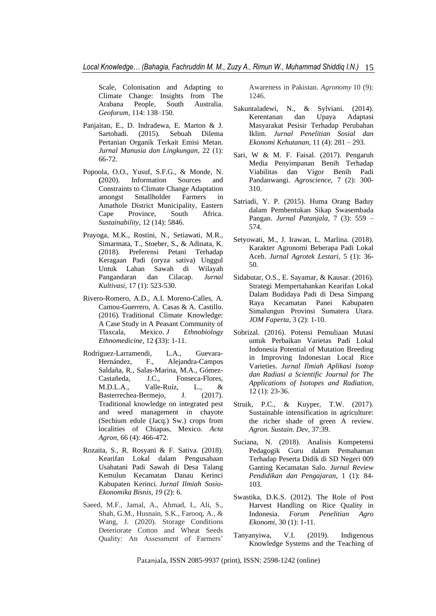Scale, Colonisation and Adapting to Climate Change: Insights from The Arabana People, South Australia. *Geoforum,* 114: 138–150.

- Panjaitan, E., D. Indradewa, E. Marton & J. Sartohadi. (2015). Sebuah Dilema Pertanian Organik Terkait Emisi Metan. *Jurnal Manusia dan Lingkungan*, 22 (1): 66-72.
- Popoola, O.O., Yusuf, S.F.G., & Monde, N. **(**2020). Information Sources and Constraints to Climate Change Adaptation amongst Smallholder Farmers in Amathole District Municipality, Eastern Cape Province, South Africa. *Sustainability*, 12 (14): 5846.
- Prayoga, M.K., Rostini, N., Setiawati, M.R., Simarmata, T., Stoeber, S., & Adinata, K. (2018). Preferensi Petani Terhadap Keragaan Padi (oryza sativa) Unggul Untuk Lahan Sawah di Wilayah Pangandaran dan Cilacap. *Jurnal Kultivasi,* 17 (1): 523-530.
- Rivero-Romero, A.D., A.I. Moreno-Calles, A. Camou-Guerrero, A. Casas & A. Castillo. (2016)*.* Traditional Climate Knowledge: A Case Study in A Peasant Community of Tlaxcala, Mexico. *J Ethnobiology Ethnomedicine,* 12 **(**33): 1-11.
- Rodríguez-Larramendi, L.A., Guevara-Hernández, F., Alejandra-Campos Saldaña, R., Salas-Marina, M.A., Gómez-Castañeda, J.C., Fonseca-Flores, M.D.L.A., Valle-Ruíz, L., & Basterrechea-Bermejo, J. (2017). Traditional knowledge on integrated pest and weed management in chayote (Sechium edule (Jacq.) Sw.) crops from localities of Chiapas, Mexico. *Acta Agron*, 66 (4): 466-472.
- Rozaita, S., R. Rosyani & F. Sativa. (2018). Kearifan Lokal dalam Pengusahaan Usahatani Padi Sawah di Desa Talang Kemulun Kecamatan Danau Kerinci Kabupaten Kerinci. *Jurnal Ilmiah Sosio-Ekonomika Bisnis*, *19* (2): 6.
- Saeed, M.F., Jamal, A., Ahmad, I., Ali, S., Shah, G.M., Husnain, S.K., Farooq, A., & Wang, J. (2020). Storage Conditions Deteriorate Cotton and Wheat Seeds Quality: An Assessment of Farmers'

Awareness in Pakistan. *Agronomy* 10 (9): 1246.

- Sakuntaladewi, N., & Sylviani. (2014). Kerentanan dan Upaya Adaptasi Masyarakat Pesisir Terhadap Perubahan Iklim. *Jurnal Penelitian Sosial dan Ekonomi Kehutanan,* 11 (4): 281 – 293.
- Sari, W & M. F. Faisal. (2017). Pengaruh Media Penyimpanan Benih Terhadap Viabilitas dan Vigor Benih Padi Pandanwangi. *Agroscience,* 7 (2): 300- 310.
- Satriadi, Y. P. (2015). Huma Orang Baduy dalam Pembentukan Sikap Swasembada Pangan. *Jurnal Patanjala,* 7 (3): 559 – 574.
- Setyowati, M., J. Irawan, L. Marlina. (2018). Karakter Agronomi Beberapa Padi Lokal Aceh. *Jurnal Agrotek Lestari,* 5 (1): 36- 50.
- Sidabutar, O.S., E. Sayamar, & Kausar. (2016). Strategi Mempertahankan Kearifan Lokal Dalam Budidaya Padi di Desa Simpang Raya Kecamatan Panei Kabupaten Simalungun Provinsi Sumatera Utara. *JOM Faperta,* 3 (2): 1-10.
- Sobrizal. (2016). Potensi Pemuliaan Mutasi untuk Perbaikan Varietas Padi Lokal Indonesia Potential of Mutation Breeding in Improving Indonesian Local Rice Varieties. *Jurnal Ilmiah Aplikasi Isotop dan Radiasi a Scientific Journal for The Applications of Isotopes and Radiation,* 12 (1): 23-36.
- Struik, P.C., & Kuyper, T.W. (2017). Sustainable intensification in agriculture: the richer shade of green A review. *Agron. Sustain. Dev,* 37:39.
- Suciana, N. (2018). Analisis Kompetensi Pedagogik Guru dalam Pemahaman Terhadap Peserta Didik di SD Negeri 009 Ganting Kecamatan Salo. *Jurnal Review Pendidikan dan Pengajaran,* 1 (1): 84- 103.
- Swastika, D.K.S. (2012). The Role of Post Harvest Handling on Rice Quality in Indonesia. *Forum Penelitian Agro Ekonomi,* 30 (1): 1-11.
- Tanyanyiwa, V.I. (2019). Indigenous Knowledge Systems and the Teaching of